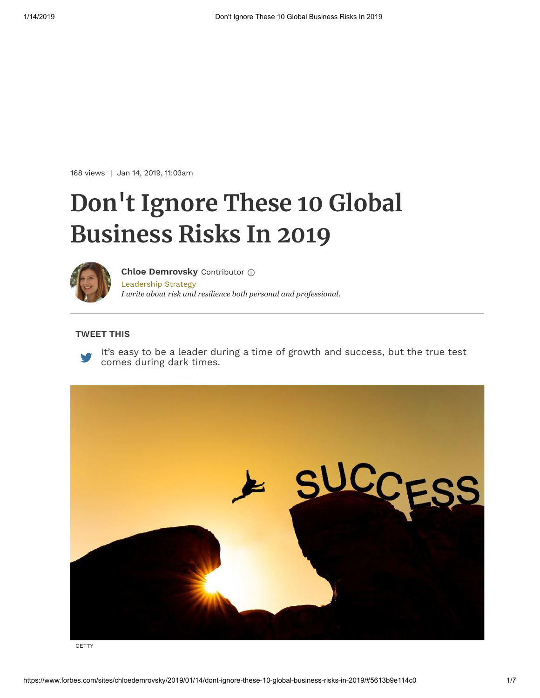168 views | Jan 14, 2019, 11:03am

# **Don't Ignore These 10 Global Business Risks In 2019**



[Leadership Strategy](https://www.forbes.com/leadership-strategy/) *I write about risk and resilience both personal and professional.* **[Chloe Demrovsky](https://www.forbes.com/sites/chloedemrovsky/)** Contributor

#### **TWEET THIS**

V It's easy to be a leader during a [time of growth and success, but the true test](https://twitter.com/intent/tweet?url=http%3A%2F%2Fwww.forbes.com%2Fsites%2Fchloedemrovsky%2F2019%2F01%2F14%2Fdont-ignore-these-10-global-business-risks-in-2019%2F&text=It%E2%80%99s%20easy%20to%20be%20a%20%23leader%20during%20a%20time%20of%20growth%2C%20but%20the%20true%20test%20comes%20during%20dark%20times.%20Get%20prepared%20for%202019.) comes during dark times.



GETTY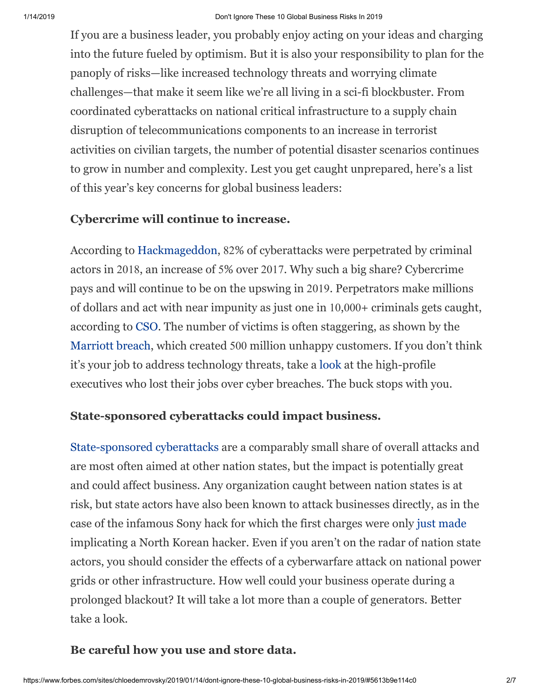If you are a business leader, you probably enjoy acting on your ideas and charging into the future fueled by optimism. But it is also your responsibility to plan for the panoply of risks—like increased technology threats and worrying climate challenges—that make it seem like we're all living in a sci-fi blockbuster. From coordinated cyberattacks on national critical infrastructure to a supply chain disruption of telecommunications components to an increase in terrorist activities on civilian targets, the number of potential disaster scenarios continues to grow in number and complexity. Lest you get caught unprepared, here's a list of this year's key concerns for global business leaders:

### **Cybercrime will continue to increase.**

According to [Hackmageddon,](https://www.hackmageddon.com/2018-master-table/) 82% of cyberattacks were perpetrated by criminal actors in 2018, an increase of 5% over 2017. Why such a big share? Cybercrime pays and will continue to be on the upswing in 2019. Perpetrators make millions of dollars and act with near impunity as just one in 10,000+ criminals gets caught, according to [CSO](https://www.csoonline.com/article/3147398/data-protection/why-its-so-hard-to-prosecute-cyber-criminals.html). The number of victims is often staggering, as shown by the [Marriott breach,](https://www.consumer.ftc.gov/blog/2018/12/marriott-data-breach) which created 500 million unhappy customers. If you don't think it's your job to address technology threats, take a [look](https://www.forbes.com/sites/forbestechcouncil/2018/06/26/ceos-the-data-breach-is-your-fault/#3b36c73a58b0) at the high-profile executives who lost their jobs over cyber breaches. The buck stops with you.

# **State-sponsored cyberattacks could impact business.**

[State-sponsored cyberattacks](https://www.forbes.com/sites/kateoflahertyuk/2018/05/03/cyber-warfare-the-threat-from-nation-states/#700a4eda1c78) are a comparably small share of overall attacks and are most often aimed at other nation states, but the impact is potentially great and could affect business. Any organization caught between nation states is at risk, but state actors have also been known to attack businesses directly, as in the case of the infamous Sony hack for which the first charges were only [just made](https://www.cnn.com/2018/09/06/politics/doj-sony-hack-charges/index.html) implicating a North Korean hacker. Even if you aren't on the radar of nation state actors, you should consider the effects of a cyberwarfare attack on national power grids or other infrastructure. How well could your business operate during a prolonged blackout? It will take a lot more than a couple of generators. Better take a look.

# **Be careful how you use and store data.**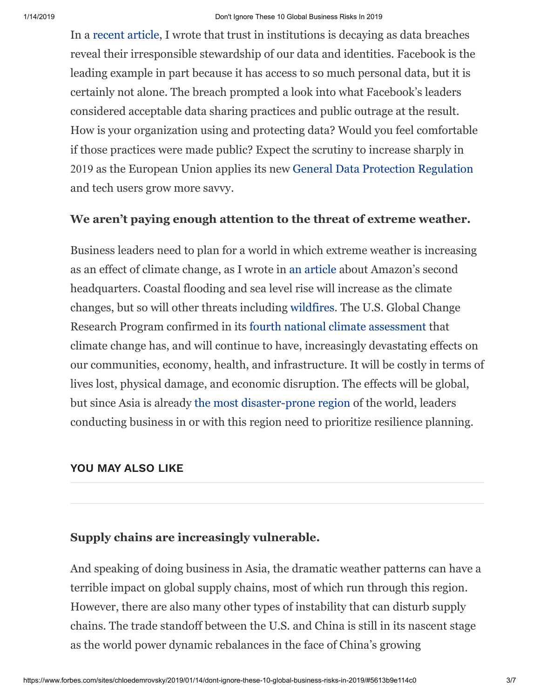In a [recent article,](https://www.forbes.com/sites/chloedemrovsky/2018/11/28/should-we-trust-institutions-like-facebook-or-quit-them/#760dd0c74cf7) I wrote that trust in institutions is decaying as data breaches reveal their irresponsible stewardship of our data and identities. Facebook is the leading example in part because it has access to so much personal data, but it is certainly not alone. The breach prompted a look into what Facebook's leaders considered acceptable data sharing practices and public outrage at the result. How is your organization using and protecting data? Would you feel comfortable if those practices were made public? Expect the scrutiny to increase sharply in 2019 as the European Union applies its new [General Data Protection Regulation](https://eugdpr.org/) and tech users grow more savvy.

### **We aren't paying enough attention to the threat of extreme weather.**

Business leaders need to plan for a world in which extreme weather is increasing as an effect of climate change, as I wrote in [an article](https://www.forbes.com/sites/chloedemrovsky/2018/12/12/why-amazon-hq2-will-need-an-evacuation-plan/#6d86a5a678f0) about Amazon's second headquarters. Coastal flooding and sea level rise will increase as the climate changes, but so will other threats including [wildfires](https://www.vice.com/en_us/article/439b9g/the-terrifying-future-of-california-wildfires-its-going-to-get-worse). The U.S. Global Change Research Program confirmed in its [fourth national climate assessment](https://nca2018.globalchange.gov/) that climate change has, and will continue to have, increasingly devastating effects on our communities, economy, health, and infrastructure. It will be costly in terms of lives lost, physical damage, and economic disruption. The effects will be global, but since Asia is already [the most disaster-prone region](https://www.un.org/press/en/2018/sgsm19126.doc.htm) of the world, leaders conducting business in or with this region need to prioritize resilience planning.

#### **YOU MAY ALSO LIKE**

### **Supply chains are increasingly vulnerable.**

And speaking of doing business in Asia, the dramatic weather patterns can have a terrible impact on global supply chains, most of which run through this region. However, there are also many other types of instability that can disturb supply chains. The trade standoff between the U.S. and China is still in its nascent stage as the world power dynamic rebalances in the face of China's growing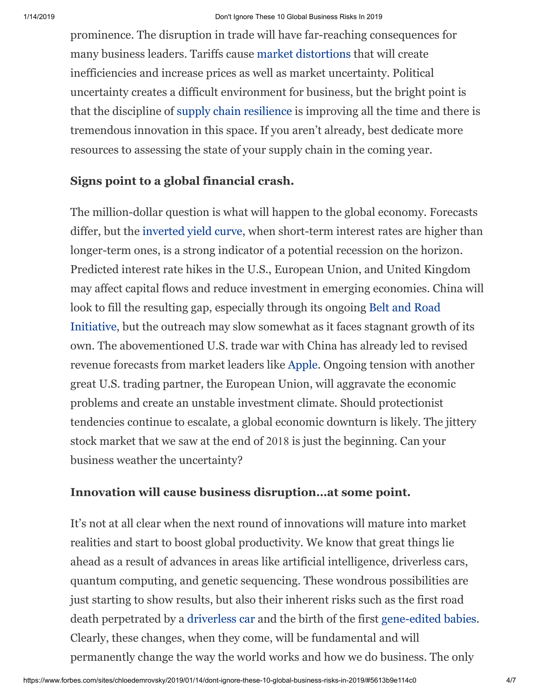prominence. The disruption in trade will have far-reaching consequences for many business leaders. Tariffs cause [market distortions](https://www.cnn.com/2019/01/03/perspectives/us-china-trade-war/index.html) that will create inefficiencies and increase prices as well as market uncertainty. Political uncertainty creates a difficult environment for business, but the bright point is that the discipline of [supply chain resilience](https://sheffi.mit.edu/book/power-resilience) is improving all the time and there is tremendous innovation in this space. If you aren't already, best dedicate more resources to assessing the state of your supply chain in the coming year.

### **Signs point to a global financial crash.**

The million-dollar question is what will happen to the global economy. Forecasts differ, but the [inverted yield curve,](https://www.forbes.com/sites/petercohan/2018/12/04/795-point-dow-plunge-and-the-inverted-yield-curve/#598add3a783a) when short-term interest rates are higher than longer-term ones, is a strong indicator of a potential recession on the horizon. Predicted interest rate hikes in the U.S., European Union, and United Kingdom may affect capital flows and reduce investment in emerging economies. China will [look to fill the resulting gap, especially through its ongoing Belt and Road](http://english.gov.cn/beltAndRoad/) Initiative, but the outreach may slow somewhat as it faces stagnant growth of its own. The abovementioned U.S. trade war with China has already led to revised revenue forecasts from market leaders like [Apple](https://www.nytimes.com/2019/01/02/technology/apple-revenue-decline-china.html). Ongoing tension with another great U.S. trading partner, the European Union, will aggravate the economic problems and create an unstable investment climate. Should protectionist tendencies continue to escalate, a global economic downturn is likely. The jittery stock market that we saw at the end of 2018 is just the beginning. Can your business weather the uncertainty?

### **Innovation will cause business disruption…at some point.**

It's not at all clear when the next round of innovations will mature into market realities and start to boost global productivity. We know that great things lie ahead as a result of advances in areas like artificial intelligence, driverless cars, quantum computing, and genetic sequencing. These wondrous possibilities are just starting to show results, but also their inherent risks such as the first road death perpetrated by a [driverless car](https://www.economist.com/the-economist-explains/2018/05/29/why-ubers-self-driving-car-killed-a-pedestrian) and the birth of the first [gene-edited babies.](https://www.theatlantic.com/science/archive/2018/12/15-worrying-things-about-crispr-babies-scandal/577234/) Clearly, these changes, when they come, will be fundamental and will permanently change the way the world works and how we do business. The only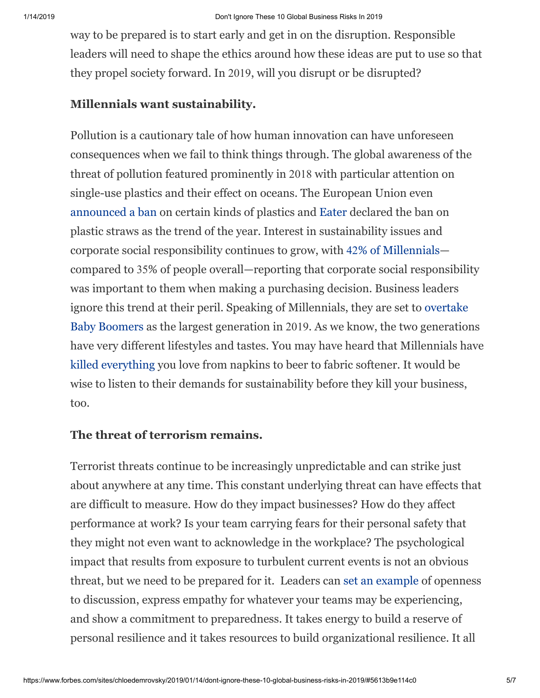way to be prepared is to start early and get in on the disruption. Responsible leaders will need to shape the ethics around how these ideas are put to use so that they propel society forward. In 2019, will you disrupt or be disrupted?

#### **Millennials want sustainability.**

Pollution is a cautionary tale of how human innovation can have unforeseen consequences when we fail to think things through. The global awareness of the threat of pollution featured prominently in 2018 with particular attention on single-use plastics and their effect on oceans. The European Union even [announced a ban](https://www.popsci.com/eu-plastic-ban) on certain kinds of plastics and [Eater](https://www.eater.com/2018/12/27/18156734/plastic-straw-ban-biggest-trend-2018) declared the ban on plastic straws as the trend of the year. Interest in sustainability issues and corporate social responsibility continues to grow, with 42[% of Millennials](https://www.nosh.com/news/2018/nielsen-millennials-value-health-and-csr) compared to 35% of people overall—reporting that corporate social responsibility was important to them when making a purchasing decision. Business leaders [ignore this trend at their peril. Speaking of Millennials, they are set to overtake](http://www.pewresearch.org/fact-tank/2018/03/01/millennials-overtake-baby-boomers/) Baby Boomers as the largest generation in 2019. As we know, the two generations have very different lifestyles and tastes. You may have heard that Millennials have [killed everything](https://www.businessinsider.com/millennials-are-killing-list-2017-8#oil-20) you love from napkins to beer to fabric softener. It would be wise to listen to their demands for sustainability before they kill your business, too.

# **The threat of terrorism remains.**

Terrorist threats continue to be increasingly unpredictable and can strike just about anywhere at any time. This constant underlying threat can have effects that are difficult to measure. How do they impact businesses? How do they affect performance at work? Is your team carrying fears for their personal safety that they might not even want to acknowledge in the workplace? The psychological impact that results from exposure to turbulent current events is not an obvious threat, but we need to be prepared for it. Leaders can [set an example](http://time.com/money/4407777/nice-terrorist-attack-work/) of openness to discussion, express empathy for whatever your teams may be experiencing, and show a commitment to preparedness. It takes energy to build a reserve of personal resilience and it takes resources to build organizational resilience. It all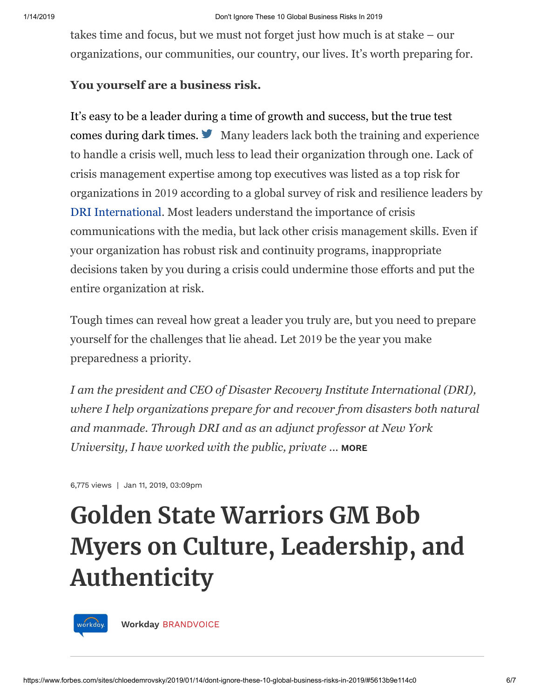takes time and focus, but we must not forget just how much is at stake – our organizations, our communities, our country, our lives. It's worth preparing for.

### **You yourself are a business risk.**

It's easy to be a leader during a time of growth and success, but the true test comes during dark times.  $\blacktriangleright$  Many leaders lack both the training and experience to handle a crisis well, much less to lead their organization through one. Lack of crisis management expertise among top executives was listed as a top risk for organizations in 2019 according to a global survey of risk and resilience leaders by [DRI International](https://drive.drii.org/2019/01/08/dris-global-risk-and-resilience-trends-report-the-top-trends-and-risks/). Most leaders understand the importance of crisis communications with the media, but lack other crisis management skills. Even if your organization has robust risk and continuity programs, inappropriate decisions taken by you during a crisis could undermine those efforts and put the entire organization at risk.

Tough times can reveal how great a leader you truly are, but you need to prepare yourself for the challenges that lie ahead. Let 2019 be the year you make preparedness a priority.

*I am the president and CEO of Disaster Recovery Institute International (DRI), where I help organizations prepare for and recover from disasters both natural and manmade. Through DRI and as an adjunct professor at New York University, I have worked with the public, private ...* **[MORE](https://www.forbes.com/sites/chloedemrovsky/)**

6,775 views | Jan 11, 2019, 03:09pm

# **Golden State Warriors GM Bob Myers on Culture, Leadership, and Authenticity**



**[Workday](http://www.forbes.com/sites/workday/)** BRANDVOICE